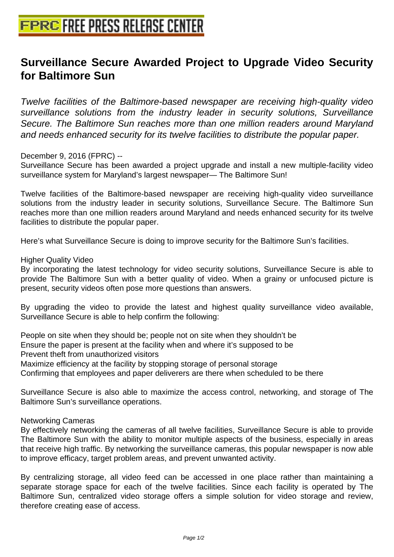# **[Surveillance Secure Awarded Pro](http://www.free-press-release-center.info)ject to Upgrade Video Security for Baltimore Sun**

Twelve facilities of the Baltimore-based newspaper are receiving high-quality video surveillance solutions from the industry leader in security solutions, Surveillance Secure. The Baltimore Sun reaches more than one million readers around Maryland and needs enhanced security for its twelve facilities to distribute the popular paper.

## December 9, 2016 (FPRC) --

Surveillance Secure has been awarded a project upgrade and install a new multiple-facility video surveillance system for Maryland's largest newspaper— The Baltimore Sun!

Twelve facilities of the Baltimore-based newspaper are receiving high-quality video surveillance solutions from the industry leader in security solutions, Surveillance Secure. The Baltimore Sun reaches more than one million readers around Maryland and needs enhanced security for its twelve facilities to distribute the popular paper.

Here's what Surveillance Secure is doing to improve security for the Baltimore Sun's facilities.

## Higher Quality Video

By incorporating the latest technology for video security solutions, Surveillance Secure is able to provide The Baltimore Sun with a better quality of video. When a grainy or unfocused picture is present, security videos often pose more questions than answers.

By upgrading the video to provide the latest and highest quality surveillance video available, Surveillance Secure is able to help confirm the following:

People on site when they should be; people not on site when they shouldn't be Ensure the paper is present at the facility when and where it's supposed to be Prevent theft from unauthorized visitors Maximize efficiency at the facility by stopping storage of personal storage

Confirming that employees and paper deliverers are there when scheduled to be there

Surveillance Secure is also able to maximize the access control, networking, and storage of The Baltimore Sun's surveillance operations.

#### Networking Cameras

By effectively networking the cameras of all twelve facilities, Surveillance Secure is able to provide The Baltimore Sun with the ability to monitor multiple aspects of the business, especially in areas that receive high traffic. By networking the surveillance cameras, this popular newspaper is now able to improve efficacy, target problem areas, and prevent unwanted activity.

By centralizing storage, all video feed can be accessed in one place rather than maintaining a separate storage space for each of the twelve facilities. Since each facility is operated by The Baltimore Sun, centralized video storage offers a simple solution for video storage and review, therefore creating ease of access.